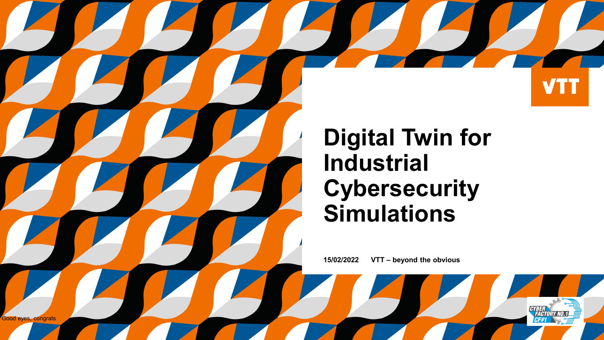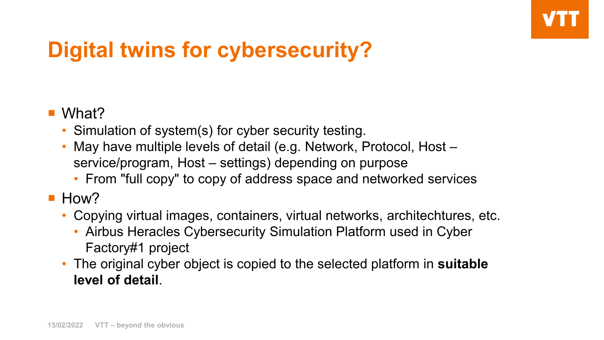# **Digital twins for cybersecurity?**

#### ■ What?

- Simulation of system(s) for cyber security testing.
- May have multiple levels of detail (e.g. Network, Protocol, Host service/program, Host – settings) depending on purpose
	- From "full copy" to copy of address space and networked services
- $\blacksquare$  How?
	- Copying virtual images, containers, virtual networks, architechtures, etc.
		- Airbus Heracles Cybersecurity Simulation Platform used in Cyber Factory#1 project
	- The original cyber object is copied to the selected platform in **suitable level of detail**.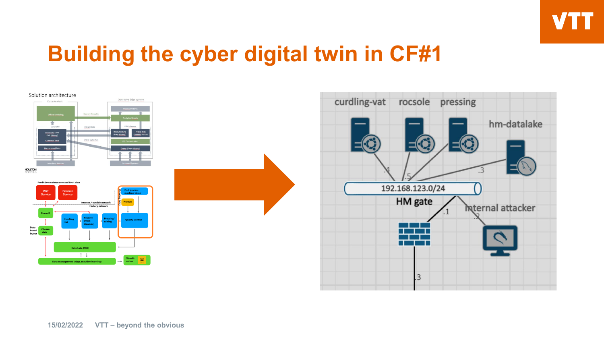

### **Building the cyber digital twin in CF#1**

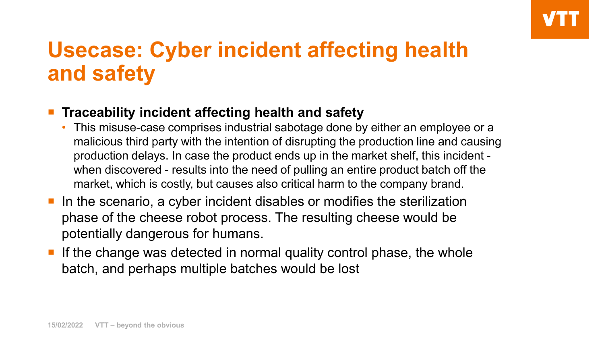## **Usecase: Cyber incident affecting health and safety**

#### **Traceability incident affecting health and safety**

- This misuse-case comprises industrial sabotage done by either an employee or a malicious third party with the intention of disrupting the production line and causing production delays. In case the product ends up in the market shelf, this incident when discovered - results into the need of pulling an entire product batch off the market, which is costly, but causes also critical harm to the company brand.
- In the scenario, a cyber incident disables or modifies the sterilization phase of the cheese robot process. The resulting cheese would be potentially dangerous for humans.
- If the change was detected in normal quality control phase, the whole batch, and perhaps multiple batches would be lost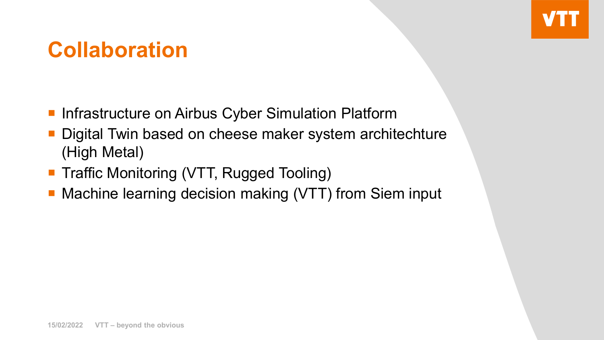### **Collaboration**

- **Infrastructure on Airbus Cyber Simulation Platform**
- Digital Twin based on cheese maker system architechture (High Metal)
- Traffic Monitoring (VTT, Rugged Tooling)
- **Machine learning decision making (VTT) from Siem input**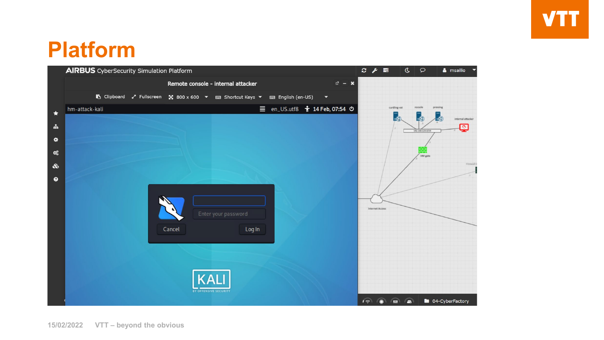# **VTT**

## **Platform**

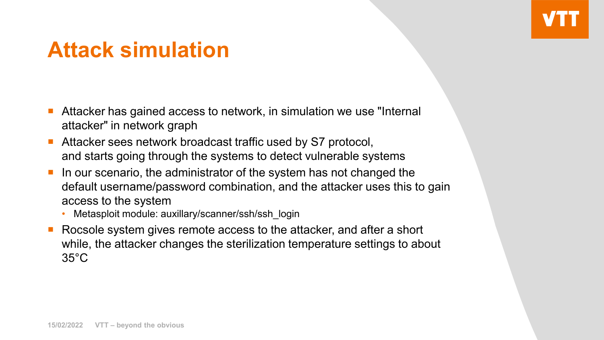## **Attack simulation**

- Attacker has gained access to network, in simulation we use "Internal attacker" in network graph
- Attacker sees network broadcast traffic used by S7 protocol, and starts going through the systems to detect vulnerable systems
- In our scenario, the administrator of the system has not changed the default username/password combination, and the attacker uses this to gain access to the system
	- Metasploit module: auxillary/scanner/ssh/ssh\_login
- Rocsole system gives remote access to the attacker, and after a short while, the attacker changes the sterilization temperature settings to about 35°C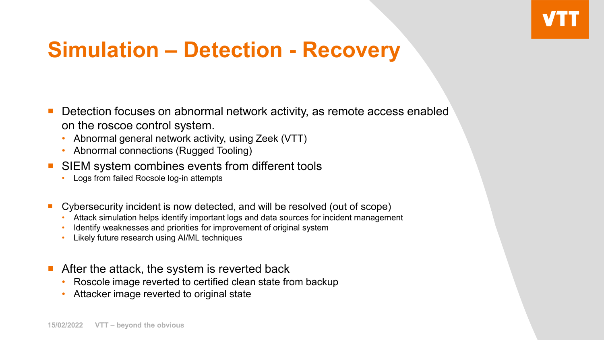## **Simulation – Detection - Recovery**

- Detection focuses on abnormal network activity, as remote access enabled on the roscoe control system.
	- Abnormal general network activity, using Zeek (VTT)
	- Abnormal connections (Rugged Tooling)
- SIEM system combines events from different tools
	- Logs from failed Rocsole log-in attempts
- Cybersecurity incident is now detected, and will be resolved (out of scope)
	- Attack simulation helps identify important logs and data sources for incident management
	- Identify weaknesses and priorities for improvement of original system
	- Likely future research using AI/ML techniques
- After the attack, the system is reverted back
	- Roscole image reverted to certified clean state from backup
	- Attacker image reverted to original state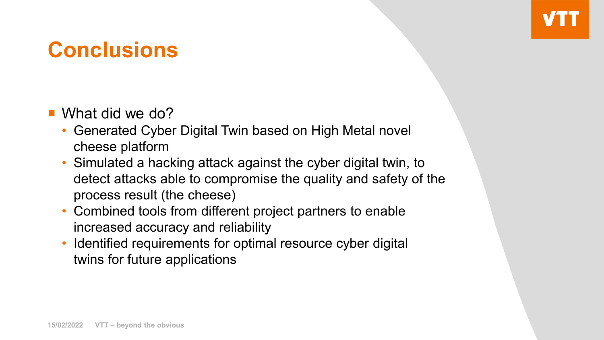## **Conclusions**

- What did we do?
	- Generated Cyber Digital Twin based on High Metal novel cheese platform
	- Simulated a hacking attack against the cyber digital twin, to detect attacks able to compromise the quality and safety of the process result (the cheese)
	- Combined tools from different project partners to enable increased accuracy and reliability
	- Identified requirements for optimal resource cyber digital twins for future applications